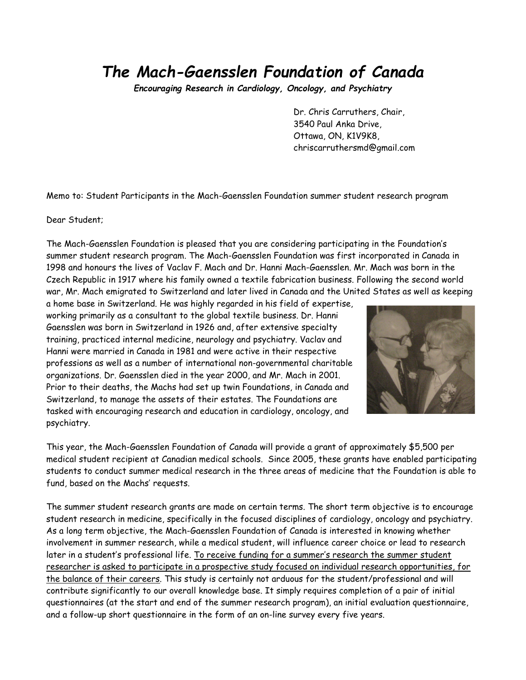Encouraging Research in Cardiology, Oncology, and Psychiatry

 Dr. Chris Carruthers, Chair, 3540 Paul Anka Drive, Ottawa, ON, K1V9K8, chriscarruthersmd@gmail.com

Memo to: Student Participants in the Mach-Gaensslen Foundation summer student research program

Dear Student;

The Mach-Gaensslen Foundation is pleased that you are considering participating in the Foundation's summer student research program. The Mach-Gaensslen Foundation was first incorporated in Canada in 1998 and honours the lives of Vaclav F. Mach and Dr. Hanni Mach-Gaensslen. Mr. Mach was born in the Czech Republic in 1917 where his family owned a textile fabrication business. Following the second world war, Mr. Mach emigrated to Switzerland and later lived in Canada and the United States as well as keeping

a home base in Switzerland. He was highly regarded in his field of expertise, working primarily as a consultant to the global textile business. Dr. Hanni Gaensslen was born in Switzerland in 1926 and, after extensive specialty training, practiced internal medicine, neurology and psychiatry. Vaclav and Hanni were married in Canada in 1981 and were active in their respective professions as well as a number of international non-governmental charitable organizations. Dr. Gaensslen died in the year 2000, and Mr. Mach in 2001. Prior to their deaths, the Machs had set up twin Foundations, in Canada and Switzerland, to manage the assets of their estates. The Foundations are tasked with encouraging research and education in cardiology, oncology, and psychiatry.



This year, the Mach-Gaensslen Foundation of Canada will provide a grant of approximately \$5,500 per medical student recipient at Canadian medical schools. Since 2005, these grants have enabled participating students to conduct summer medical research in the three areas of medicine that the Foundation is able to fund, based on the Machs' requests.

The summer student research grants are made on certain terms. The short term objective is to encourage student research in medicine, specifically in the focused disciplines of cardiology, oncology and psychiatry. As a long term objective, the Mach-Gaensslen Foundation of Canada is interested in knowing whether involvement in summer research, while a medical student, will influence career choice or lead to research later in a student's professional life. To receive funding for a summer's research the summer student researcher is asked to participate in a prospective study focused on individual research opportunities, for the balance of their careers. This study is certainly not arduous for the student/professional and will contribute significantly to our overall knowledge base. It simply requires completion of a pair of initial questionnaires (at the start and end of the summer research program), an initial evaluation questionnaire, and a follow-up short questionnaire in the form of an on-line survey every five years.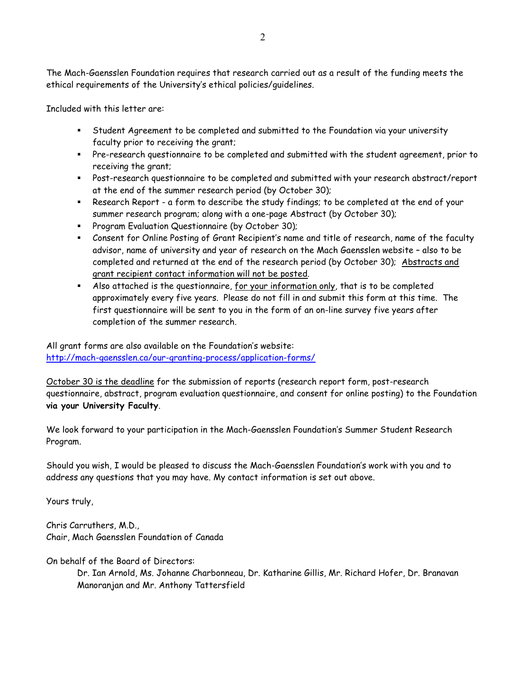The Mach-Gaensslen Foundation requires that research carried out as a result of the funding meets the ethical requirements of the University's ethical policies/guidelines.

Included with this letter are:

- Student Agreement to be completed and submitted to the Foundation via your university faculty prior to receiving the grant;
- Pre-research questionnaire to be completed and submitted with the student agreement, prior to receiving the grant;
- Post-research questionnaire to be completed and submitted with your research abstract/report at the end of the summer research period (by October 30);
- Research Report a form to describe the study findings; to be completed at the end of your summer research program; along with a one-page Abstract (by October 30);
- **Program Evaluation Questionnaire (by October 30);**
- Consent for Online Posting of Grant Recipient's name and title of research, name of the faculty advisor, name of university and year of research on the Mach Gaensslen website – also to be completed and returned at the end of the research period (by October 30); Abstracts and grant recipient contact information will not be posted.
- Also attached is the questionnaire, for your information only, that is to be completed approximately every five years. Please do not fill in and submit this form at this time. The first questionnaire will be sent to you in the form of an on-line survey five years after completion of the summer research.

All grant forms are also available on the Foundation's website: [http://mach-gaensslen.ca/our-granting-process/application-f](http://www.mach-gaensslen.ca/grants/students.php#forms)orms/

October 30 is the deadline for the submission of reports (research report form, post-research questionnaire, abstract, program evaluation questionnaire, and consent for online posting) to the Foundation via your University Faculty.

We look forward to your participation in the Mach-Gaensslen Foundation's Summer Student Research Program.

Should you wish, I would be pleased to discuss the Mach-Gaensslen Foundation's work with you and to address any questions that you may have. My contact information is set out above.

Yours truly,

Chris Carruthers, M.D., Chair, Mach Gaensslen Foundation of Canada

On behalf of the Board of Directors:

Dr. Ian Arnold, Ms. Johanne Charbonneau, Dr. Katharine Gillis, Mr. Richard Hofer, Dr. Branavan Manoranjan and Mr. Anthony Tattersfield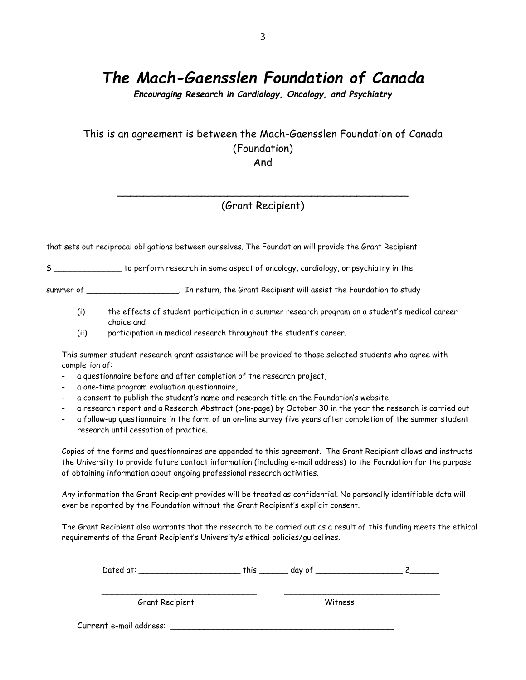*Encouraging Research in Cardiology, Oncology, and Psychiatry*

## This is an agreement is between the Mach-Gaensslen Foundation of Canada (Foundation)

And

### \_\_\_\_\_\_\_\_\_\_\_\_\_\_\_\_\_\_\_\_\_\_\_\_\_\_\_\_\_\_\_\_\_\_\_\_\_\_\_\_\_\_\_\_\_ (Grant Recipient)

that sets out reciprocal obligations between ourselves. The Foundation will provide the Grant Recipient

\$ \_\_\_\_\_\_\_\_\_\_\_\_\_\_ to perform research in some aspect of oncology, cardiology, or psychiatry in the

summer of \_\_\_\_\_\_\_\_\_\_\_\_\_\_\_\_\_\_\_\_\_\_\_. In return, the Grant Recipient will assist the Foundation to study

- (i) the effects of student participation in a summer research program on a student's medical career choice and
- (ii) participation in medical research throughout the student's career.

This summer student research grant assistance will be provided to those selected students who agree with completion of:

- a questionnaire before and after completion of the research project,
- a one-time program evaluation questionnaire,
- a consent to publish the student's name and research title on the Foundation's website,
- a research report and a Research Abstract (one-page) by October 30 in the year the research is carried out
- a follow-up questionnaire in the form of an on-line survey five years after completion of the summer student research until cessation of practice.

Copies of the forms and questionnaires are appended to this agreement. The Grant Recipient allows and instructs the University to provide future contact information (including e-mail address) to the Foundation for the purpose of obtaining information about ongoing professional research activities.

Any information the Grant Recipient provides will be treated as confidential. No personally identifiable data will ever be reported by the Foundation without the Grant Recipient's explicit consent.

The Grant Recipient also warrants that the research to be carried out as a result of this funding meets the ethical requirements of the Grant Recipient's University's ethical policies/guidelines.

| Dated at:               | this | day of  |  |
|-------------------------|------|---------|--|
| Grant Recipient         |      | Witness |  |
| Current e-mail address: |      |         |  |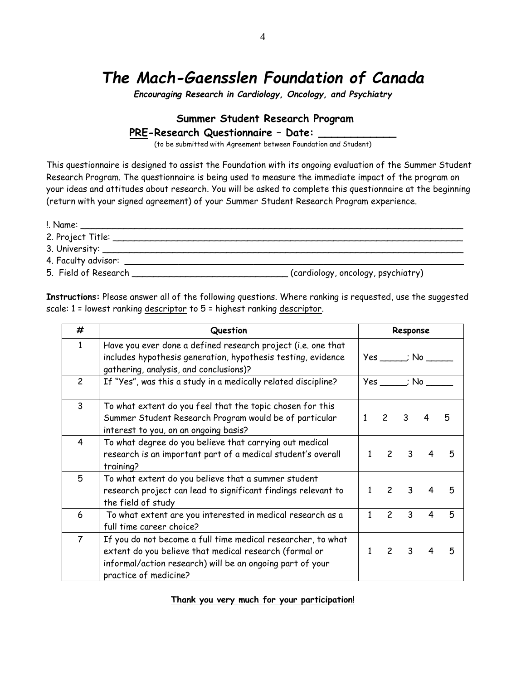*Encouraging Research in Cardiology, Oncology, and Psychiatry*

### **Summer Student Research Program PRE-Research Questionnaire - Date:**

(to be submitted with Agreement between Foundation and Student)

This questionnaire is designed to assist the Foundation with its ongoing evaluation of the Summer Student Research Program. The questionnaire is being used to measure the immediate impact of the program on your ideas and attitudes about research. You will be asked to complete this questionnaire at the beginning (return with your signed agreement) of your Summer Student Research Program experience.

!. Name: \_\_\_\_\_\_\_\_\_\_\_\_\_\_\_\_\_\_\_\_\_\_\_\_\_\_\_\_\_\_\_\_\_\_\_\_\_\_\_\_\_\_\_\_\_\_\_\_\_\_\_\_\_\_\_\_\_\_\_\_\_\_\_\_\_\_\_\_\_\_\_

- 2. Project Title: \_\_\_\_\_\_\_\_\_\_\_\_\_\_\_\_\_\_\_\_\_\_\_\_\_\_\_\_\_\_\_\_\_\_\_\_\_\_\_\_\_\_\_\_\_\_\_\_\_\_\_\_\_\_\_\_\_\_\_\_\_\_\_\_\_
- 3. University: \_\_\_\_\_\_\_\_\_\_\_\_\_\_\_\_\_\_\_\_\_\_\_\_\_\_\_\_\_\_\_\_\_\_\_\_\_\_\_\_\_\_\_\_\_\_\_\_\_\_\_\_\_\_\_\_\_\_\_\_\_\_\_\_\_\_\_
- 4. Faculty advisor: \_\_\_\_\_\_\_\_\_\_\_\_\_\_\_\_\_\_\_\_\_\_\_\_\_\_\_\_\_\_\_\_\_\_\_\_\_\_\_\_\_\_\_\_\_\_\_\_\_\_\_\_\_\_\_\_\_\_\_\_\_\_\_
- 5. Field of Research \_\_\_\_\_\_\_\_\_\_\_\_\_\_\_\_\_\_\_\_\_\_\_\_\_\_\_\_\_ (cardiology, oncology, psychiatry)

**Instructions:** Please answer all of the following questions. Where ranking is requested, use the suggested scale: 1 = lowest ranking descriptor to 5 = highest ranking descriptor.

| #              | Question                                                                                                                                                                                                     |                                                | Response       |                         |                            |   |
|----------------|--------------------------------------------------------------------------------------------------------------------------------------------------------------------------------------------------------------|------------------------------------------------|----------------|-------------------------|----------------------------|---|
| $\mathbf{1}$   | Have you ever done a defined research project (i.e. one that<br>includes hypothesis generation, hypothesis testing, evidence<br>gathering, analysis, and conclusions)?                                       |                                                |                |                         | $Yes \_\_\_$ No $\_\_\_\_$ |   |
| $\overline{c}$ | If "Yes", was this a study in a medically related discipline?                                                                                                                                                | $Yes$ $\longrightarrow$ $No$ $\longrightarrow$ |                |                         |                            |   |
| 3              | To what extent do you feel that the topic chosen for this<br>Summer Student Research Program would be of particular<br>interest to you, on an ongoing basis?                                                 | 1                                              | $\mathcal{P}$  | $\overline{\mathbf{3}}$ | 4                          | 5 |
| 4              | To what degree do you believe that carrying out medical<br>research is an important part of a medical student's overall<br>training?                                                                         | 1                                              |                | $2 \quad 3$             | 4                          | 5 |
| 5              | To what extent do you believe that a summer student<br>research project can lead to significant findings relevant to<br>the field of study                                                                   |                                                | $\overline{c}$ | $\overline{\mathbf{3}}$ | 4                          | 5 |
| 6              | To what extent are you interested in medical research as a<br>full time career choice?                                                                                                                       | 1                                              | $\overline{c}$ | $\mathbf{3}$            | 4                          | 5 |
| $\overline{7}$ | If you do not become a full time medical researcher, to what<br>extent do you believe that medical research (formal or<br>informal/action research) will be an ongoing part of your<br>practice of medicine? | 1                                              |                | $2 \quad 3 \quad 4$     |                            | 5 |

#### **Thank you very much for your participation!**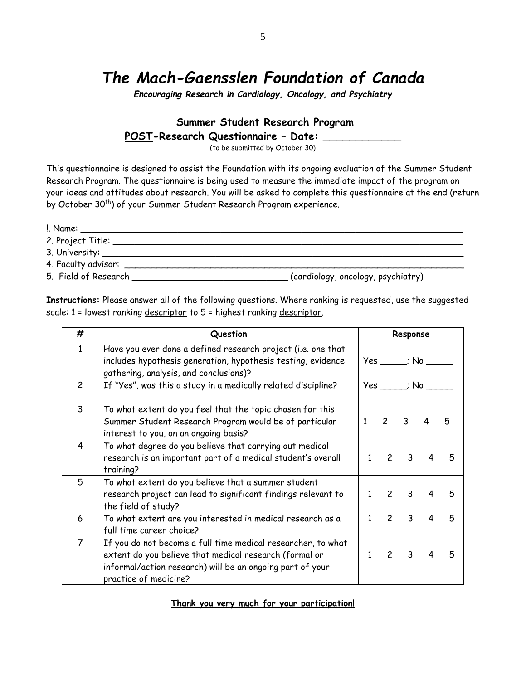*Encouraging Research in Cardiology, Oncology, and Psychiatry*

### **Summer Student Research Program POST-Research Questionnaire – Date: \_\_\_\_\_\_\_\_\_\_\_\_**

(to be submitted by October 30)

This questionnaire is designed to assist the Foundation with its ongoing evaluation of the Summer Student Research Program. The questionnaire is being used to measure the immediate impact of the program on your ideas and attitudes about research. You will be asked to complete this questionnaire at the end (return by October 30<sup>th</sup>) of your Summer Student Research Program experience.

!. Name: \_\_\_\_\_\_\_\_\_\_\_\_\_\_\_\_\_\_\_\_\_\_\_\_\_\_\_\_\_\_\_\_\_\_\_\_\_\_\_\_\_\_\_\_\_\_\_\_\_\_\_\_\_\_\_\_\_\_\_\_\_\_\_\_\_\_\_\_\_\_\_ 2. Project Title: \_\_\_\_\_\_\_\_\_\_\_\_\_\_\_\_\_\_\_\_\_\_\_\_\_\_\_\_\_\_\_\_\_\_\_\_\_\_\_\_\_\_\_\_\_\_\_\_\_\_\_\_\_\_\_\_\_\_\_\_\_\_\_\_\_ 3. University: \_\_\_\_\_\_\_\_\_\_\_\_\_\_\_\_\_\_\_\_\_\_\_\_\_\_\_\_\_\_\_\_\_\_\_\_\_\_\_\_\_\_\_\_\_\_\_\_\_\_\_\_\_\_\_\_\_\_\_\_\_\_\_\_\_\_\_ 4. Faculty advisor: \_\_\_\_\_\_\_\_\_\_\_\_\_\_\_\_\_\_\_\_\_\_\_\_\_\_\_\_\_\_\_\_\_\_\_\_\_\_\_\_\_\_\_\_\_\_\_\_\_\_\_\_\_\_\_\_\_\_\_\_\_\_\_ 5. Field of Research \_\_\_\_\_\_\_\_\_\_\_\_\_\_\_\_\_\_\_\_\_\_\_\_\_\_\_\_\_ (cardiology, oncology, psychiatry)

**Instructions:** Please answer all of the following questions. Where ranking is requested, use the suggested scale: 1 = lowest ranking descriptor to 5 = highest ranking descriptor.

| #              | Question                                                                                                                                                                                                     | Response   |                            |                         |                |   |
|----------------|--------------------------------------------------------------------------------------------------------------------------------------------------------------------------------------------------------------|------------|----------------------------|-------------------------|----------------|---|
| $\mathbf{1}$   | Have you ever done a defined research project (i.e. one that<br>includes hypothesis generation, hypothesis testing, evidence<br>gathering, analysis, and conclusions)?                                       |            | $Yes$ $\longrightarrow$ No |                         |                |   |
| $\overline{c}$ | If "Yes", was this a study in a medically related discipline?                                                                                                                                                | $Yes$ ; No |                            |                         |                |   |
| 3              | To what extent do you feel that the topic chosen for this<br>Summer Student Research Program would be of particular<br>interest to you, on an ongoing basis?                                                 | 1          | $\mathcal{P}$              | $\overline{\mathbf{3}}$ | 4              | 5 |
| 4              | To what degree do you believe that carrying out medical<br>research is an important part of a medical student's overall<br>training?                                                                         |            | $\mathcal{P}$              | $\overline{\mathbf{3}}$ | 4              | 5 |
| 5              | To what extent do you believe that a summer student<br>research project can lead to significant findings relevant to<br>the field of study?                                                                  | 1          | $\overline{\phantom{0}}$   | 3                       | $\overline{4}$ | 5 |
| 6              | To what extent are you interested in medical research as a<br>full time career choice?                                                                                                                       | 1          | $\overline{c}$             | 3                       | 4              | 5 |
| $\overline{7}$ | If you do not become a full time medical researcher, to what<br>extent do you believe that medical research (formal or<br>informal/action research) will be an ongoing part of your<br>practice of medicine? |            |                            | $2 \quad 3$             | $\overline{4}$ | 5 |

**Thank you very much for your participation!**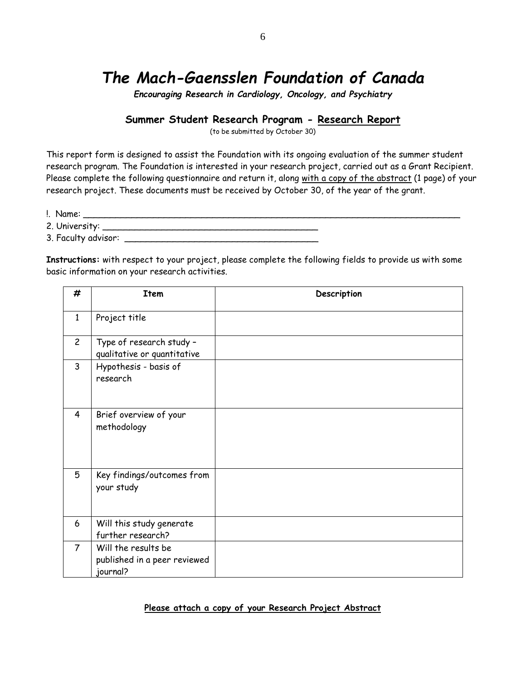*Encouraging Research in Cardiology, Oncology, and Psychiatry*

### **Summer Student Research Program - Research Report**

(to be submitted by October 30)

This report form is designed to assist the Foundation with its ongoing evaluation of the summer student research program. The Foundation is interested in your research project, carried out as a Grant Recipient. Please complete the following questionnaire and return it, along with a copy of the abstract (1 page) of your research project. These documents must be received by October 30, of the year of the grant.

- $\blacksquare$  Name:
- 2. University: \_\_\_\_\_\_\_\_\_\_\_\_\_\_\_\_\_\_\_\_\_\_\_\_\_\_\_\_\_\_\_\_\_\_\_\_\_\_\_\_
- 3. Faculty advisor: \_\_\_\_\_\_\_\_\_\_\_\_\_\_\_\_\_\_\_\_\_\_\_\_\_\_\_\_\_\_\_\_\_\_\_\_

**Instructions:** with respect to your project, please complete the following fields to provide us with some basic information on your research activities.

| #              | <b>Item</b>                                                     | Description |
|----------------|-----------------------------------------------------------------|-------------|
| $\mathbf{1}$   | Project title                                                   |             |
| $\overline{c}$ | Type of research study -<br>qualitative or quantitative         |             |
| 3              | Hypothesis - basis of<br>research                               |             |
| 4              | Brief overview of your<br>methodology                           |             |
| 5              | Key findings/outcomes from<br>your study                        |             |
| 6              | Will this study generate<br>further research?                   |             |
| $\overline{7}$ | Will the results be<br>published in a peer reviewed<br>journal? |             |

#### **Please attach a copy of your Research Project Abstract**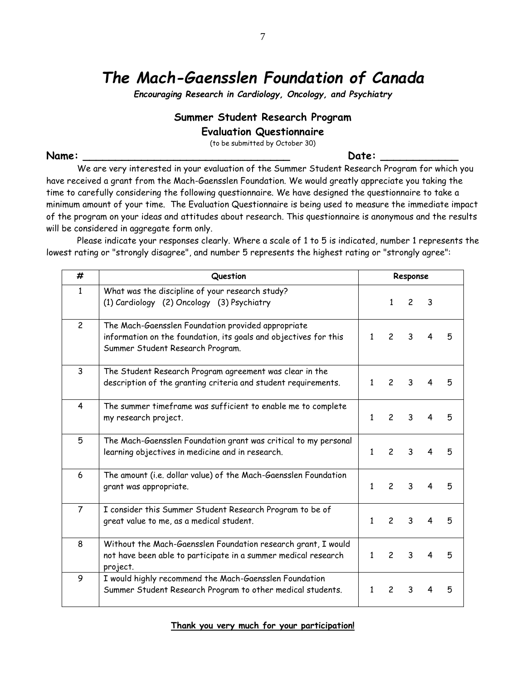*Encouraging Research in Cardiology, Oncology, and Psychiatry*

### **Summer Student Research Program**

#### **Evaluation Questionnaire**

(to be submitted by October 30)

Name: **Name:** 2008. And 2008. A state of the state of the state of the state of the state of the state of the state of the state of the state of the state of the state of the state of the state of the state of the state of

We are very interested in your evaluation of the Summer Student Research Program for which you have received a grant from the Mach-Gaensslen Foundation. We would greatly appreciate you taking the time to carefully considering the following questionnaire. We have designed the questionnaire to take a minimum amount of your time. The Evaluation Questionnaire is being used to measure the immediate impact of the program on your ideas and attitudes about research. This questionnaire is anonymous and the results will be considered in aggregate form only.

Please indicate your responses clearly. Where a scale of 1 to 5 is indicated, number 1 represents the lowest rating or "strongly disagree", and number 5 represents the highest rating or "strongly agree":

| #              | Question                                                                                                                                                   | Response     |                |                |   |   |
|----------------|------------------------------------------------------------------------------------------------------------------------------------------------------------|--------------|----------------|----------------|---|---|
| $\mathbf{1}$   | What was the discipline of your research study?<br>(1) Cardiology (2) Oncology (3) Psychiatry                                                              |              | 1              | $\overline{c}$ | 3 |   |
| $\overline{c}$ | The Mach-Gaensslen Foundation provided appropriate<br>information on the foundation, its goals and objectives for this<br>Summer Student Research Program. | 1            | $\overline{c}$ | 3              | 4 | 5 |
| $\overline{3}$ | The Student Research Program agreement was clear in the<br>description of the granting criteria and student requirements.                                  | 1            | $\overline{c}$ | 3              | 4 | 5 |
| 4              | The summer timeframe was sufficient to enable me to complete<br>my research project.                                                                       | 1            | $\overline{c}$ | 3              | 4 | 5 |
| 5              | The Mach-Gaensslen Foundation grant was critical to my personal<br>learning objectives in medicine and in research.                                        | $\mathbf{1}$ | $\overline{c}$ | 3              | 4 | 5 |
| 6              | The amount (i.e. dollar value) of the Mach-Gaensslen Foundation<br>grant was appropriate.                                                                  | 1            | $\overline{c}$ | 3              | 4 | 5 |
| $\overline{7}$ | I consider this Summer Student Research Program to be of<br>great value to me, as a medical student.                                                       | $\mathbf{1}$ | $\overline{c}$ | 3              | 4 | 5 |
| 8              | Without the Mach-Gaensslen Foundation research grant, I would<br>not have been able to participate in a summer medical research<br>project.                | $\mathbf{1}$ | $\mathfrak{p}$ | 3              | 4 | 5 |
| 9              | I would highly recommend the Mach-Gaensslen Foundation<br>Summer Student Research Program to other medical students.                                       | 1            | $\mathcal{P}$  | 3              | 4 | 5 |

**Thank you very much for your participation!**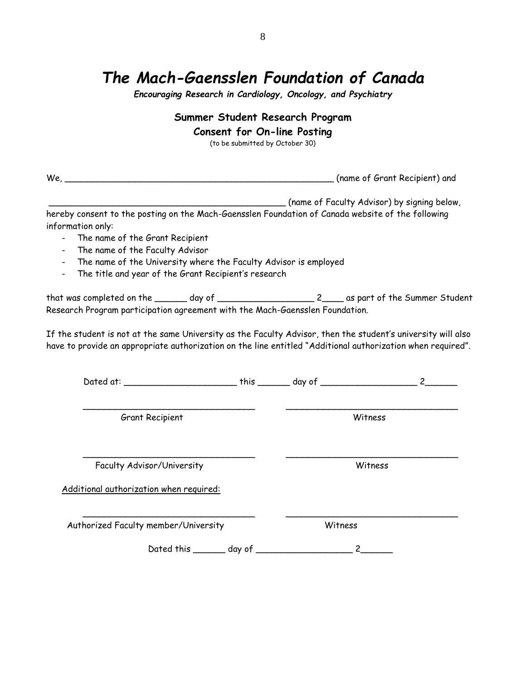*Encouraging Research in Cardiology, Oncology, and Psychiatry*

### **Summer Student Research Program**

### **Consent for On-line Posting**

(to be submitted by October 30)

| $We, \_$<br>the control of the control of the control of the control of the control of the control of                                     | (name of Grant Recipient) and                                                                                                                                                                                               |  |  |
|-------------------------------------------------------------------------------------------------------------------------------------------|-----------------------------------------------------------------------------------------------------------------------------------------------------------------------------------------------------------------------------|--|--|
|                                                                                                                                           | _____ (name of Faculty Advisor) by signing below,                                                                                                                                                                           |  |  |
| hereby consent to the posting on the Mach-Gaensslen Foundation of Canada website of the following<br>information only:                    |                                                                                                                                                                                                                             |  |  |
| The name of the Grant Recipient                                                                                                           |                                                                                                                                                                                                                             |  |  |
| - The name of the Faculty Advisor                                                                                                         |                                                                                                                                                                                                                             |  |  |
| The name of the University where the Faculty Advisor is employed<br>The title and year of the Grant Recipient's research<br>$\frac{1}{2}$ |                                                                                                                                                                                                                             |  |  |
| Research Program participation agreement with the Mach-Gaensslen Foundation.                                                              |                                                                                                                                                                                                                             |  |  |
|                                                                                                                                           | If the student is not at the same University as the Faculty Advisor, then the student's university will also<br>have to provide an appropriate authorization on the line entitled "Additional authorization when required". |  |  |
|                                                                                                                                           |                                                                                                                                                                                                                             |  |  |
| Grant Recipient                                                                                                                           | Witness                                                                                                                                                                                                                     |  |  |
| Faculty Advisor/University                                                                                                                | Witness                                                                                                                                                                                                                     |  |  |
| Additional authorization when required:                                                                                                   |                                                                                                                                                                                                                             |  |  |
| Authorized Faculty member/University                                                                                                      | Witness                                                                                                                                                                                                                     |  |  |
|                                                                                                                                           |                                                                                                                                                                                                                             |  |  |